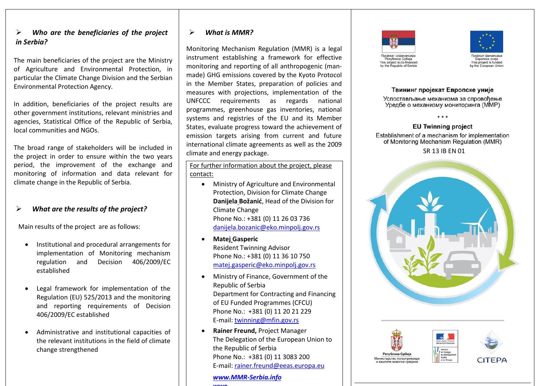## *Who are the beneficiaries of the project in Serbia?*

The main beneficiaries of the project are the Ministry of Agriculture and Environmental Protection, in particular the Climate Change Division and the Serbian Environmental Protection Agency.

In addition, beneficiaries of the project results are other government institutions, relevant ministries and agencies, Statistical Office of the Republic of Serbia, local communities and NGOs.

The broad range of stakeholders will be included in the project in order to ensure within the two years period, the improvement of the exchange and monitoring of information and data relevant for climate change in the Republic of Serbia.

# *What are the results of the project ?*

Main results of the project are as follows :

- Institutional and procedural arrangements for implementation of Monitoring mechanism regulation and Decision 406/2009/E C established
- Legal framework for implementation of the Regulation (E U) 525/2013 and the monitoring and reporting requirements of Decision 406/2009/E C established
- Administrative and institutional capacities of the relevant institutions in the field of climate change strengthened

# *What is ММR ?*

Monitoring Mechanism Regulation (MMR) is a legal instrument establishing a framework for effective monitoring and reporting of all anthropogenic (man made) GHG emissions covered by the Kyoto Protocol in the Member States, preparation of policies and measures with projections, implementation of the UNFCCC requirements as regards national programmes, greenhouse gas inventories, national systems and registries of the EU and its Member States, evaluate progress toward the achievement of emission targets arising from current and future international climate agreements as well as the 2009 climate and ener gy package.

For further information about the project, please contact:

- Ministry of Agriculture and Environmental Protection, Division for Climate Change **Danijela Božanić**, Head of the Division for Climate Change Phone No.: +381 (0) 11 26 03 736 [danijela.bozanic@eko.minpolj.gov.rs](mailto:danijela.bozanic@eko.minpolj.gov.rs)
- **Маtej Gasperic** Resident Twinning Advisor Phone No.: +381 (0) 11 36 10 750 [matej.gasperic@eko.minpolj.gov.rs](mailto:matej.gasperic@eko.minpolj.gov.rs)
- Ministry of Finance, Government of the Republic of Serbia Department for Contracting and Financing of EU Funded Programmes (CFCU) Phone No.: +381 (0) 11 20 21 229 E-mail[: twinning@mfin.gov.rs](mailto:twinning@mfin.gov.rs)
- **Rainer Freund,** Project Manager The Delegation of the European Union to the Republic of Serbia Phone No.: +381 (0) 11 3083 200 E-mail[: rainer.freund@eeas.europa.eu](mailto:rainer.freund@eeas.europa.eu)

*[www.MMR](http://www.mmr-serbia.info/) -Serbia.info [wwo](http://www.mmr-serbia.info/)*





#### Твининг пројекат Европске уније

Успостављање механизма за спровоћење Уредбе о механизму мониторинга (ММР)

#### **EU Twinning project**

Establishment of a mechanism for implementation of Monitoring Mechanism Regulation (MMR)

SR 13 IB EN 01